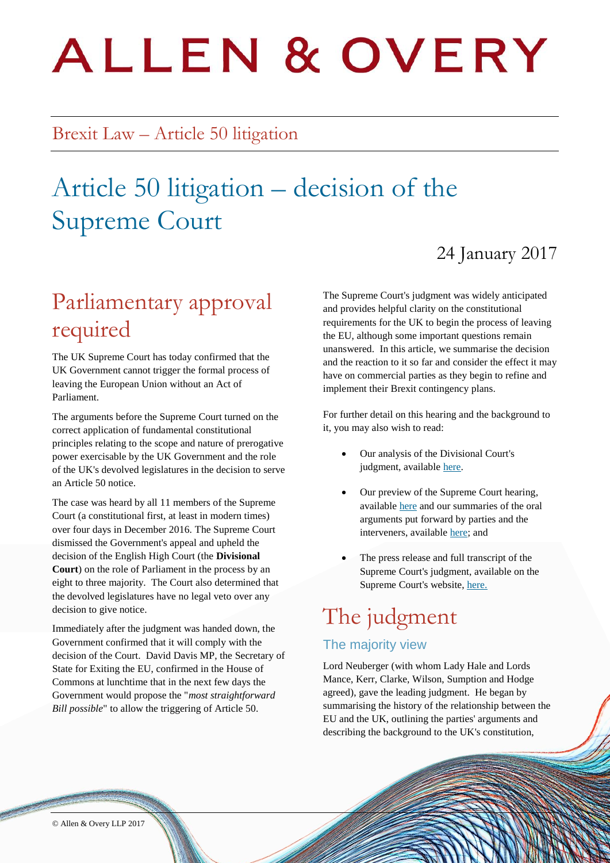# **ALLEN & OVERY**

### Brexit Law – Article 50 litigation

# Article 50 litigation – decision of the Supreme Court

### 24 January 2017

# Parliamentary approval required

The UK Supreme Court has today confirmed that the UK Government cannot trigger the formal process of leaving the European Union without an Act of Parliament.

The arguments before the Supreme Court turned on the correct application of fundamental constitutional principles relating to the scope and nature of prerogative power exercisable by the UK Government and the role of the UK's devolved legislatures in the decision to serve an Article 50 notice.

The case was heard by all 11 members of the Supreme Court (a constitutional first, at least in modern times) over four days in December 2016. The Supreme Court dismissed the Government's appeal and upheld the decision of the English High Court (the **Divisional Court**) on the role of Parliament in the process by an eight to three majority. The Court also determined that the devolved legislatures have no legal veto over any decision to give notice.

Immediately after the judgment was handed down, the Government confirmed that it will comply with the decision of the Court. David Davis MP, the Secretary of State for Exiting the EU, confirmed in the House of Commons at lunchtime that in the next few days the Government would propose the "*most straightforward Bill possible*" to allow the triggering of Article 50.

The Supreme Court's judgment was widely anticipated and provides helpful clarity on the constitutional requirements for the UK to begin the process of leaving the EU, although some important questions remain unanswered. In this article, we summarise the decision and the reaction to it so far and consider the effect it may have on commercial parties as they begin to refine and implement their Brexit contingency plans.

For further detail on this hearing and the background to it, you may also wish to read:

- Our analysis of the Divisional Court's judgment, availabl[e here.](http://bit.ly/2eGKZiX)
- Our preview of the Supreme Court hearing, available [here](http://bit.ly/2h5oAwg) and our summaries of the oral arguments put forward by parties and the interveners, available [here;](http://www.allenovery.com/Brexit-Law/Pages/Article-50-proceedings-commentary-on-hearings.aspx) and
- The press release and full transcript of the Supreme Court's judgment, available on the Supreme Court's website, [here.](https://www.supremecourt.uk/news/article-50-brexit-appeal.html)

# The judgment

#### The majority view

Lord Neuberger (with whom Lady Hale and Lords Mance, Kerr, Clarke, Wilson, Sumption and Hodge agreed), gave the leading judgment. He began by summarising the history of the relationship between the EU and the UK, outlining the parties' arguments and describing the background to the UK's constitution,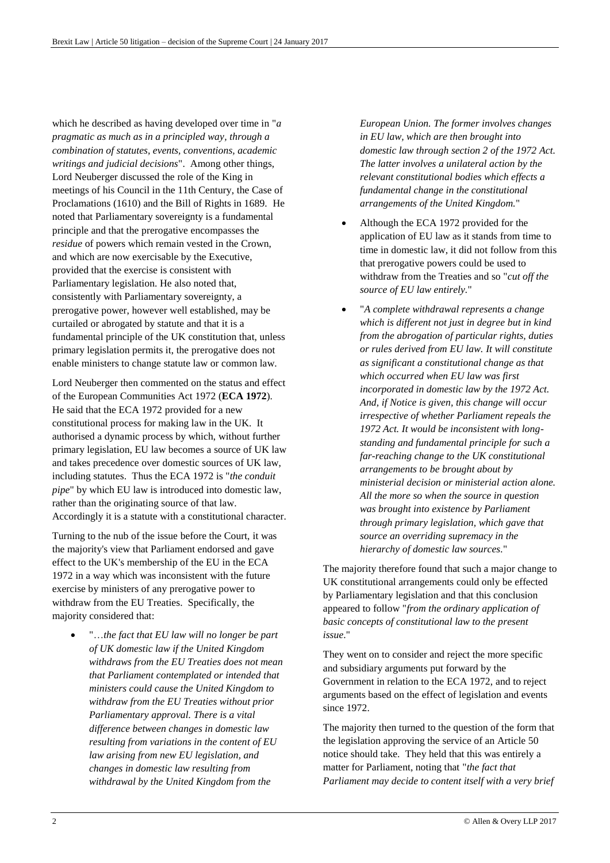which he described as having developed over time in "*a pragmatic as much as in a principled way, through a combination of statutes, events, conventions, academic writings and judicial decisions*". Among other things, Lord Neuberger discussed the role of the King in meetings of his Council in the 11th Century, the Case of Proclamations (1610) and the Bill of Rights in 1689. He noted that Parliamentary sovereignty is a fundamental principle and that the prerogative encompasses the *residue* of powers which remain vested in the Crown, and which are now exercisable by the Executive, provided that the exercise is consistent with Parliamentary legislation. He also noted that, consistently with Parliamentary sovereignty, a prerogative power, however well established, may be curtailed or abrogated by statute and that it is a fundamental principle of the UK constitution that, unless primary legislation permits it, the prerogative does not enable ministers to change statute law or common law.

Lord Neuberger then commented on the status and effect of the European Communities Act 1972 (**ECA 1972**). He said that the ECA 1972 provided for a new constitutional process for making law in the UK. It authorised a dynamic process by which, without further primary legislation, EU law becomes a source of UK law and takes precedence over domestic sources of UK law, including statutes. Thus the ECA 1972 is "*the conduit pipe*" by which EU law is introduced into domestic law, rather than the originating source of that law. Accordingly it is a statute with a constitutional character.

Turning to the nub of the issue before the Court, it was the majority's view that Parliament endorsed and gave effect to the UK's membership of the EU in the ECA 1972 in a way which was inconsistent with the future exercise by ministers of any prerogative power to withdraw from the EU Treaties. Specifically, the majority considered that:

 "…*the fact that EU law will no longer be part of UK domestic law if the United Kingdom withdraws from the EU Treaties does not mean that Parliament contemplated or intended that ministers could cause the United Kingdom to withdraw from the EU Treaties without prior Parliamentary approval. There is a vital difference between changes in domestic law resulting from variations in the content of EU law arising from new EU legislation, and changes in domestic law resulting from withdrawal by the United Kingdom from the* 

*European Union. The former involves changes in EU law, which are then brought into domestic law through section 2 of the 1972 Act. The latter involves a unilateral action by the relevant constitutional bodies which effects a fundamental change in the constitutional arrangements of the United Kingdom.*"

- Although the ECA 1972 provided for the application of EU law as it stands from time to time in domestic law, it did not follow from this that prerogative powers could be used to withdraw from the Treaties and so "*cut off the source of EU law entirely.*"
- "*A complete withdrawal represents a change which is different not just in degree but in kind from the abrogation of particular rights, duties or rules derived from EU law. It will constitute as significant a constitutional change as that which occurred when EU law was first incorporated in domestic law by the 1972 Act. And, if Notice is given, this change will occur irrespective of whether Parliament repeals the 1972 Act. It would be inconsistent with longstanding and fundamental principle for such a far-reaching change to the UK constitutional arrangements to be brought about by ministerial decision or ministerial action alone. All the more so when the source in question was brought into existence by Parliament through primary legislation, which gave that source an overriding supremacy in the hierarchy of domestic law sources.*"

The majority therefore found that such a major change to UK constitutional arrangements could only be effected by Parliamentary legislation and that this conclusion appeared to follow "*from the ordinary application of basic concepts of constitutional law to the present issue*."

They went on to consider and reject the more specific and subsidiary arguments put forward by the Government in relation to the ECA 1972, and to reject arguments based on the effect of legislation and events since 1972.

The majority then turned to the question of the form that the legislation approving the service of an Article 50 notice should take. They held that this was entirely a matter for Parliament, noting that "*the fact that Parliament may decide to content itself with a very brief*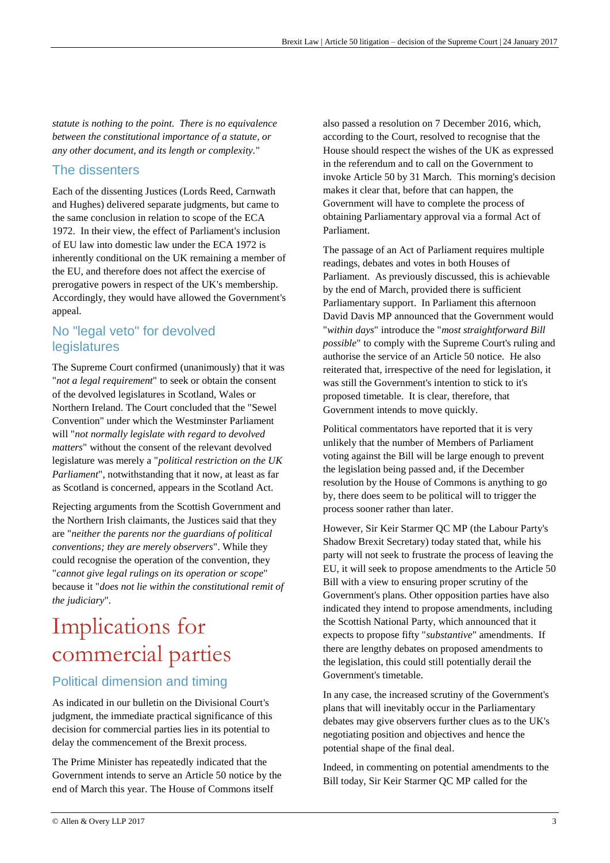*statute is nothing to the point. There is no equivalence between the constitutional importance of a statute, or any other document, and its length or complexity.*"

#### The dissenters

Each of the dissenting Justices (Lords Reed, Carnwath and Hughes) delivered separate judgments, but came to the same conclusion in relation to scope of the ECA 1972. In their view, the effect of Parliament's inclusion of EU law into domestic law under the ECA 1972 is inherently conditional on the UK remaining a member of the EU, and therefore does not affect the exercise of prerogative powers in respect of the UK's membership. Accordingly, they would have allowed the Government's appeal.

#### No "legal veto" for devolved legislatures

The Supreme Court confirmed (unanimously) that it was "*not a legal requirement*" to seek or obtain the consent of the devolved legislatures in Scotland, Wales or Northern Ireland. The Court concluded that the "Sewel Convention" under which the Westminster Parliament will "*not normally legislate with regard to devolved matters*" without the consent of the relevant devolved legislature was merely a "*political restriction on the UK Parliament*", notwithstanding that it now, at least as far as Scotland is concerned, appears in the Scotland Act.

Rejecting arguments from the Scottish Government and the Northern Irish claimants, the Justices said that they are "*neither the parents nor the guardians of political conventions; they are merely observers*". While they could recognise the operation of the convention, they "*cannot give legal rulings on its operation or scope*" because it "*does not lie within the constitutional remit of the judiciary*".

# Implications for commercial parties

#### Political dimension and timing

As indicated in our bulletin on the Divisional Court's judgment, the immediate practical significance of this decision for commercial parties lies in its potential to delay the commencement of the Brexit process.

The Prime Minister has repeatedly indicated that the Government intends to serve an Article 50 notice by the end of March this year. The House of Commons itself

also passed a resolution on 7 December 2016, which, according to the Court, resolved to recognise that the House should respect the wishes of the UK as expressed in the referendum and to call on the Government to invoke Article 50 by 31 March. This morning's decision makes it clear that, before that can happen, the Government will have to complete the process of obtaining Parliamentary approval via a formal Act of Parliament.

The passage of an Act of Parliament requires multiple readings, debates and votes in both Houses of Parliament. As previously discussed, this is achievable by the end of March, provided there is sufficient Parliamentary support. In Parliament this afternoon David Davis MP announced that the Government would "*within days*" introduce the "*most straightforward Bill possible*" to comply with the Supreme Court's ruling and authorise the service of an Article 50 notice. He also reiterated that, irrespective of the need for legislation, it was still the Government's intention to stick to it's proposed timetable. It is clear, therefore, that Government intends to move quickly.

Political commentators have reported that it is very unlikely that the number of Members of Parliament voting against the Bill will be large enough to prevent the legislation being passed and, if the December resolution by the House of Commons is anything to go by, there does seem to be political will to trigger the process sooner rather than later.

However, Sir Keir Starmer QC MP (the Labour Party's Shadow Brexit Secretary) today stated that, while his party will not seek to frustrate the process of leaving the EU, it will seek to propose amendments to the Article 50 Bill with a view to ensuring proper scrutiny of the Government's plans. Other opposition parties have also indicated they intend to propose amendments, including the Scottish National Party, which announced that it expects to propose fifty "*substantive*" amendments. If there are lengthy debates on proposed amendments to the legislation, this could still potentially derail the Government's timetable.

In any case, the increased scrutiny of the Government's plans that will inevitably occur in the Parliamentary debates may give observers further clues as to the UK's negotiating position and objectives and hence the potential shape of the final deal.

Indeed, in commenting on potential amendments to the Bill today, Sir Keir Starmer QC MP called for the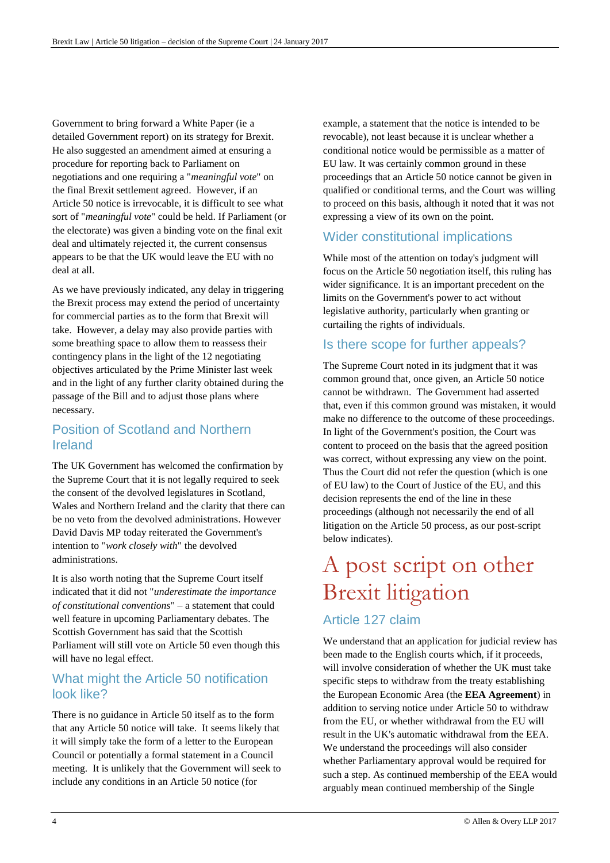Government to bring forward a White Paper (ie a detailed Government report) on its strategy for Brexit. He also suggested an amendment aimed at ensuring a procedure for reporting back to Parliament on negotiations and one requiring a "*meaningful vote*" on the final Brexit settlement agreed. However, if an Article 50 notice is irrevocable, it is difficult to see what sort of "*meaningful vote*" could be held. If Parliament (or the electorate) was given a binding vote on the final exit deal and ultimately rejected it, the current consensus appears to be that the UK would leave the EU with no deal at all.

As we have previously indicated, any delay in triggering the Brexit process may extend the period of uncertainty for commercial parties as to the form that Brexit will take. However, a delay may also provide parties with some breathing space to allow them to reassess their contingency plans in the light of the 12 negotiating objectives articulated by the Prime Minister last week and in the light of any further clarity obtained during the passage of the Bill and to adjust those plans where necessary.

#### Position of Scotland and Northern Ireland

The UK Government has welcomed the confirmation by the Supreme Court that it is not legally required to seek the consent of the devolved legislatures in Scotland, Wales and Northern Ireland and the clarity that there can be no veto from the devolved administrations. However David Davis MP today reiterated the Government's intention to "*work closely with*" the devolved administrations.

It is also worth noting that the Supreme Court itself indicated that it did not "*underestimate the importance of constitutional conventions*" – a statement that could well feature in upcoming Parliamentary debates. The Scottish Government has said that the Scottish Parliament will still vote on Article 50 even though this will have no legal effect.

#### What might the Article 50 notification look like?

There is no guidance in Article 50 itself as to the form that any Article 50 notice will take. It seems likely that it will simply take the form of a letter to the European Council or potentially a formal statement in a Council meeting. It is unlikely that the Government will seek to include any conditions in an Article 50 notice (for

example, a statement that the notice is intended to be revocable), not least because it is unclear whether a conditional notice would be permissible as a matter of EU law. It was certainly common ground in these proceedings that an Article 50 notice cannot be given in qualified or conditional terms, and the Court was willing to proceed on this basis, although it noted that it was not expressing a view of its own on the point.

#### Wider constitutional implications

While most of the attention on today's judgment will focus on the Article 50 negotiation itself, this ruling has wider significance. It is an important precedent on the limits on the Government's power to act without legislative authority, particularly when granting or curtailing the rights of individuals.

#### Is there scope for further appeals?

The Supreme Court noted in its judgment that it was common ground that, once given, an Article 50 notice cannot be withdrawn. The Government had asserted that, even if this common ground was mistaken, it would make no difference to the outcome of these proceedings. In light of the Government's position, the Court was content to proceed on the basis that the agreed position was correct, without expressing any view on the point. Thus the Court did not refer the question (which is one of EU law) to the Court of Justice of the EU, and this decision represents the end of the line in these proceedings (although not necessarily the end of all litigation on the Article 50 process, as our post-script below indicates).

# A post script on other Brexit litigation

#### Article 127 claim

We understand that an application for judicial review has been made to the English courts which, if it proceeds, will involve consideration of whether the UK must take specific steps to withdraw from the treaty establishing the European Economic Area (the **EEA Agreement**) in addition to serving notice under Article 50 to withdraw from the EU, or whether withdrawal from the EU will result in the UK's automatic withdrawal from the EEA. We understand the proceedings will also consider whether Parliamentary approval would be required for such a step. As continued membership of the EEA would arguably mean continued membership of the Single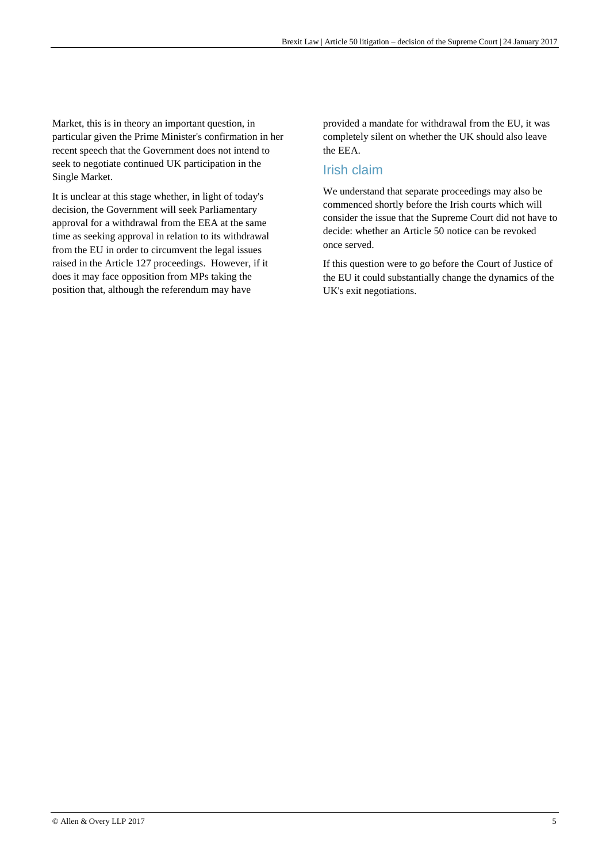Market, this is in theory an important question, in particular given the Prime Minister's confirmation in her recent speech that the Government does not intend to seek to negotiate continued UK participation in the Single Market.

It is unclear at this stage whether, in light of today's decision, the Government will seek Parliamentary approval for a withdrawal from the EEA at the same time as seeking approval in relation to its withdrawal from the EU in order to circumvent the legal issues raised in the Article 127 proceedings. However, if it does it may face opposition from MPs taking the position that, although the referendum may have

provided a mandate for withdrawal from the EU, it was completely silent on whether the UK should also leave the EEA.

#### Irish claim

We understand that separate proceedings may also be commenced shortly before the Irish courts which will consider the issue that the Supreme Court did not have to decide: whether an Article 50 notice can be revoked once served.

If this question were to go before the Court of Justice of the EU it could substantially change the dynamics of the UK's exit negotiations.